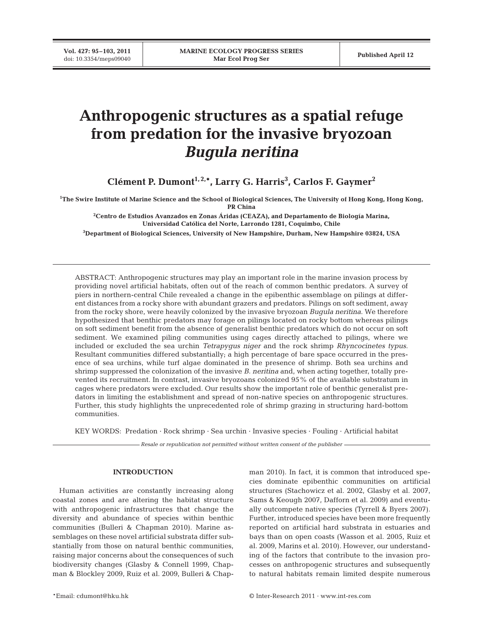**Vol. 427: 95–103, 2011**

# **Anthropogenic structures as a spatial refuge from predation for the invasive bryozoan** *Bugula neritina*

**Clément P. Dumont1, 2,\*, Larry G. Harris3 , Carlos F. Gaymer2**

**1 The Swire Institute of Marine Science and the School of Biological Sciences, The University of Hong Kong, Hong Kong, PR China**

**2 Centro de Estudios Avanzados en Zonas Áridas (CEAZA), and Departamento de Biología Marina, Universidad Católica del Norte, Larrondo 1281, Coquimbo, Chile**

**3 Department of Biological Sciences, University of New Hampshire, Durham, New Hampshire 03824, USA**

ABSTRACT: Anthropogenic structures may play an important role in the marine invasion process by providing novel artificial habitats, often out of the reach of common benthic predators. A survey of piers in northern-central Chile revealed a change in the epibenthic assemblage on pilings at different distances from a rocky shore with abundant grazers and predators. Pilings on soft sediment, away from the rocky shore, were heavily colonized by the invasive bryozoan *Bugula neritina*. We therefore hypothesized that benthic predators may forage on pilings located on rocky bottom whereas pilings on soft sediment benefit from the absence of generalist benthic predators which do not occur on soft sediment. We examined piling communities using cages directly attached to pilings, where we included or excluded the sea urchin *Tetrapygus niger* and the rock shrimp *Rhyncocinetes typus*. Resultant communities differed substantially; a high percentage of bare space occurred in the presence of sea urchins, while turf algae dominated in the presence of shrimp. Both sea urchins and shrimp suppressed the colonization of the invasive *B. neritina* and, when acting together, totally prevented its recruitment. In contrast, invasive bryozoans colonized 95% of the available substratum in cages where predators were excluded. Our results show the important role of benthic generalist predators in limiting the establishment and spread of non-native species on anthropogenic structures. Further, this study highlights the unprecedented role of shrimp grazing in structuring hard-bottom communities.

KEY WORDS: Predation · Rock shrimp · Sea urchin · Invasive species · Fouling · Artificial habitat

*Resale or republication not permitted without written consent of the publisher*

### **INTRODUCTION**

Human activities are constantly increasing along coastal zones and are altering the habitat structure with anthropogenic infrastructures that change the diversity and abundance of species within benthic communities (Bulleri & Chapman 2010). Marine as semblages on these novel artificial substrata differ substantially from those on natural benthic communities, raising major concerns about the consequences of such biodiversity changes (Glasby & Connell 1999, Chapman & Blockley 2009, Ruiz et al. 2009, Bulleri & Chapman 2010). In fact, it is common that introduced species dominate epibenthic communities on artificial structures (Stachowicz et al. 2002, Glasby et al. 2007, Sams & Keough 2007, Dafforn et al. 2009) and eventually outcompete native species (Tyrrell & Byers 2007). Further, introduced species have been more frequently reported on artificial hard substrata in estuaries and bays than on open coasts (Wasson et al. 2005, Ruiz et al. 2009, Marins et al. 2010). However, our understanding of the factors that contribute to the invasion processes on anthropogenic structures and subsequently to natural habitats remain limited despite numerous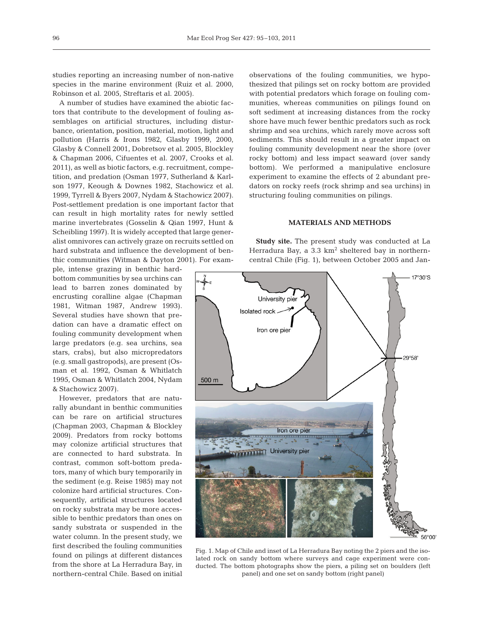studies reporting an increasing number of non-native species in the marine environment (Ruiz et al. 2000, Robinson et al. 2005, Streftaris et al. 2005).

A number of studies have examined the abiotic factors that contribute to the development of fouling assemblages on artificial structures, including disturbance, orientation, position, material, motion, light and pollution (Harris & Irons 1982, Glasby 1999, 2000, Glasby & Connell 2001, Dobretsov et al. 2005, Blockley & Chapman 2006, Cifuentes et al. 2007, Crooks et al. 2011), as well as biotic factors, e.g. recruitment, competition, and predation (Osman 1977, Sutherland & Karlson 1977, Keough & Downes 1982, Stachowicz et al. 1999, Tyrrell & Byers 2007, Nydam & Stachowicz 2007). Post-settlement predation is one important factor that can result in high mortality rates for newly settled marine invertebrates (Gosselin & Qian 1997, Hunt & Scheibling 1997). It is widely accepted that large generalist omnivores can actively graze on recruits settled on hard substrata and influence the development of benthic communities (Witman & Dayton 2001). For exam-

ple, intense grazing in benthic hardbottom communities by sea urchins can lead to barren zones dominated by encrusting coralline algae (Chapman 1981, Witman 1987, Andrew 1993). Several studies have shown that predation can have a dramatic effect on fouling community development when large predators (e.g. sea urchins, sea stars, crabs), but also micropredators (e.g. small gastropods), are present (Osman et al. 1992, Osman & Whitlatch 1995, Osman & Whitlatch 2004, Nydam & Stachowicz 2007).

However, predators that are naturally abundant in benthic communities can be rare on artificial structures (Chapman 2003, Chapman & Blockley 2009). Predators from rocky bottoms may colonize artificial structures that are connected to hard substrata. In contrast, common soft-bottom preda tors, many of which bury temporarily in the sediment (e.g. Reise 1985) may not colonize hard artificial structures. Consequently, artificial structures located on rocky substrata may be more accessible to benthic predators than ones on sandy substrata or suspended in the water column. In the present study, we first described the fouling communities found on pilings at different distances from the shore at La Herradura Bay, in northern-central Chile. Based on initial

observations of the fouling communities, we hypothesized that pilings set on rocky bottom are provided with potential predators which forage on fouling communities, whereas communities on pilings found on soft sediment at increasing distances from the rocky shore have much fewer benthic predators such as rock shrimp and sea urchins, which rarely move across soft sediments. This should result in a greater impact on fouling community development near the shore (over rocky bottom) and less impact seaward (over sandy bottom). We performed a manipulative enclosure experiment to examine the effects of 2 abundant predators on rocky reefs (rock shrimp and sea urchins) in structuring fouling communities on pilings.

## **MATERIALS AND METHODS**

**Study site.** The present study was conducted at La Herradura Bay, a  $3.3 \text{ km}^2$  sheltered bay in northerncentral Chile (Fig. 1), between October 2005 and Jan-



Fig. 1. Map of Chile and inset of La Herradura Bay noting the 2 piers and the isolated rock on sandy bottom where surveys and cage experiment were conducted. The bottom photographs show the piers, a piling set on boulders (left panel) and one set on sandy bottom (right panel)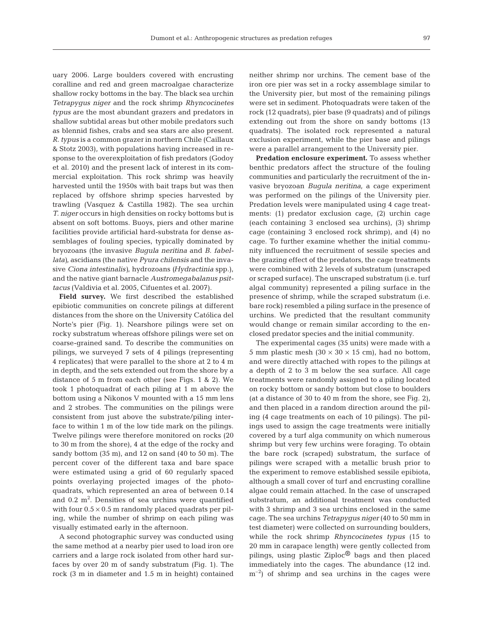uary 2006. Large boulders covered with encrusting coralline and red and green macroalgae characterize shallow rocky bottoms in the bay. The black sea urchin *Tetrapygus niger* and the rock shrimp *Rhyncocinetes typus* are the most abundant grazers and predators in shallow subtidal areas but other mobile predators such as blennid fishes, crabs and sea stars are also present. *R. typus* is a common grazer in northern Chile (Caillaux & Stotz 2003), with populations having increased in re sponse to the overexploitation of fish predators (Godoy et al. 2010) and the present lack of interest in its commercial exploitation. This rock shrimp was heavily harvested until the 1950s with bait traps but was then replaced by offshore shrimp species harvested by trawling (Vasquez & Castilla 1982). The sea urchin *T. niger* occurs in high densities on rocky bottoms but is absent on soft bottoms. Buoys, piers and other marine facilities provide artificial hard-substrata for dense assemblages of fouling species, typically dominated by bryozoans (the invasive *Bugula neritina* and *B. fabellata)*, ascidians (the native *Pyura chilensis* and the invasive *Ciona intestinalis)*, hydrozoans *(Hydractinia* spp.), and the native giant barnacle *Austromegabalanus psittacus* (Valdivia et al. 2005, Cifuentes et al. 2007).

**Field survey.** We first described the established epibiotic communities on concrete pilings at different distances from the shore on the University Católica del Norte's pier (Fig. 1). Nearshore pilings were set on rocky substratum whereas offshore pilings were set on coarse-grained sand. To describe the communities on pilings, we surveyed 7 sets of 4 pilings (representing 4 replicates) that were parallel to the shore at 2 to 4 m in depth, and the sets extended out from the shore by a distance of 5 m from each other (see Figs. 1 & 2). We took 1 photoquadrat of each piling at 1 m above the bottom using a Nikonos V mounted with a 15 mm lens and 2 strobes. The communities on the pilings were consistent from just above the substrate/piling interface to within 1 m of the low tide mark on the pilings. Twelve pilings were therefore monitored on rocks (20 to 30 m from the shore), 4 at the edge of the rocky and sandy bottom (35 m), and 12 on sand (40 to 50 m). The percent cover of the different taxa and bare space were estimated using a grid of 60 regularly spaced points overlaying projected images of the photoquadrats, which represented an area of between 0.14 and  $0.2 \text{ m}^2$ . Densities of sea urchins were quantified with four  $0.5 \times 0.5$  m randomly placed quadrats per piling, while the number of shrimp on each piling was visually estimated early in the afternoon.

A second photographic survey was conducted using the same method at a nearby pier used to load iron ore carriers and a large rock isolated from other hard surfaces by over 20 m of sandy substratum (Fig. 1). The rock (3 m in diameter and 1.5 m in height) contained

neither shrimp nor urchins. The cement base of the iron ore pier was set in a rocky assemblage similar to the University pier, but most of the remaining pilings were set in sediment. Photoquadrats were taken of the rock (12 quadrats), pier base (9 quadrats) and of pilings extending out from the shore on sandy bottoms (13 quadrats). The isolated rock represented a natural exclusion experiment, while the pier base and pilings were a parallel arrangement to the University pier.

**Predation enclosure experiment.** To assess whether benthic predators affect the structure of the fouling communities and particularly the recruitment of the invasive bryozoan *Bugula neritina*, a cage experiment was performed on the pilings of the University pier. Predation levels were manipulated using 4 cage treatments: (1) predator exclusion cage, (2) urchin cage (each containing 3 enclosed sea urchins), (3) shrimp cage (containing 3 enclosed rock shrimp), and (4) no cage. To further examine whether the initial community influenced the recruitment of sessile species and the grazing effect of the predators, the cage treatments were combined with 2 levels of substratum (unscraped or scraped surface). The unscraped substratum (i.e. turf algal community) represented a piling surface in the presence of shrimp, while the scraped substratum (i.e. bare rock) resembled a piling surface in the presence of urchins. We predicted that the resultant community would change or remain similar according to the enclosed predator species and the initial community.

The experimental cages (35 units) were made with a 5 mm plastic mesh  $(30 \times 30 \times 15 \text{ cm})$ , had no bottom, and were directly attached with ropes to the pilings at a depth of 2 to 3 m below the sea surface. All cage treatments were randomly assigned to a piling located on rocky bottom or sandy bottom but close to boulders (at a distance of 30 to 40 m from the shore, see Fig. 2), and then placed in a random direction around the piling (4 cage treatments on each of 10 pilings). The pilings used to assign the cage treatments were initially covered by a turf alga community on which numerous shrimp but very few urchins were foraging. To obtain the bare rock (scraped) substratum, the surface of pilings were scraped with a metallic brush prior to the experiment to remove established sessile epibiota, although a small cover of turf and encrusting coralline algae could remain attached. In the case of unscraped substratum, an additional treatment was conducted with 3 shrimp and 3 sea urchins enclosed in the same cage. The sea urchins *Tetrapygus niger* (40 to 50 mm in test diameter) were collected on surrounding boulders, while the rock shrimp *Rhyncocinetes typus* (15 to 20 mm in carapace length) were gently collected from pilings, using plastic Ziploc® bags and then placed immediately into the cages. The abundance (12 ind.  $\rm{m}^{-2}$ ) of shrimp and sea urchins in the cages were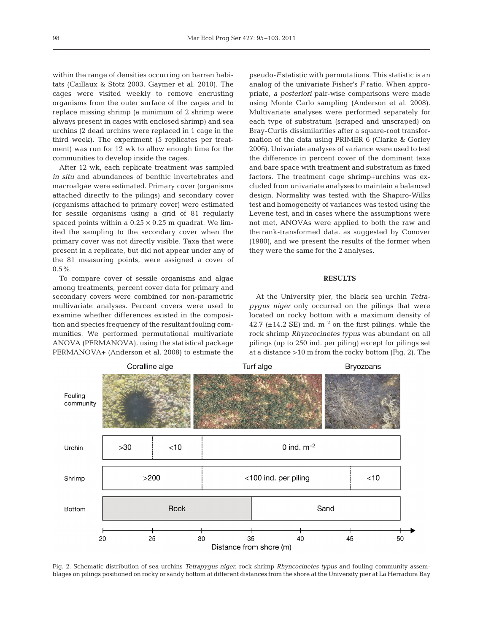within the range of densities occurring on barren habitats (Caillaux & Stotz 2003, Gaymer et al. 2010). The cages were visited weekly to remove encrusting organisms from the outer surface of the cages and to replace missing shrimp (a minimum of 2 shrimp were always present in cages with enclosed shrimp) and sea urchins (2 dead urchins were replaced in 1 cage in the third week). The experiment (5 replicates per treatment) was run for 12 wk to allow enough time for the communities to develop inside the cages.

After 12 wk, each replicate treatment was sampled *in situ* and abundances of benthic invertebrates and macroalgae were estimated. Primary cover (organisms attached directly to the pilings) and secondary cover (organisms attached to primary cover) were estimated for sessile organisms using a grid of 81 regularly spaced points within a  $0.25 \times 0.25$  m quadrat. We limited the sampling to the secondary cover when the primary cover was not directly visible. Taxa that were present in a replicate, but did not appear under any of the 81 measuring points, were assigned a cover of  $0.5\%$ .

To compare cover of sessile organisms and algae among treatments, percent cover data for primary and secondary covers were combined for non-parametric multivariate analyses. Percent covers were used to examine whether differences existed in the composition and species frequency of the resultant fouling com munities. We performed permutational multivariate ANOVA (PERMANOVA), using the statistical package PERMANOVA+ (Anderson et al. 2008) to estimate the pseudo-*F* statistic with permutations. This statistic is an analog of the univariate Fisher's *F* ratio. When appropriate, *a posteriori* pair-wise comparisons were made using Monte Carlo sampling (Anderson et al. 2008). Multivariate analyses were performed separately for each type of substratum (scraped and unscraped) on Bray-Curtis dissimilarities after a square-root transformation of the data using PRIMER 6 (Clarke & Gorley 2006). Univariate analyses of variance were used to test the difference in percent cover of the dominant taxa and bare space with treatment and substratum as fixed factors. The treatment cage shrimp+urchins was excluded from univariate analyses to maintain a balanced design. Normality was tested with the Shapiro-Wilks test and homogeneity of variances was tested using the Levene test, and in cases where the assumptions were not met, ANOVAs were applied to both the raw and the rank-transformed data, as suggested by Conover (1980), and we present the results of the former when they were the same for the 2 analyses.

#### **RESULTS**

At the University pier, the black sea urchin *Tetra pygus niger* only occurred on the pilings that were located on rocky bottom with a maximum density of 42.7 ( $\pm$ 14.2 SE) ind.  $m^{-2}$  on the first pilings, while the rock shrimp *Rhyncocinetes typus* was abundant on all pilings (up to 250 ind. per piling) except for pilings set at a distance >10 m from the rocky bottom (Fig. 2). The



Fig. 2. Schematic distribution of sea urchins *Tetrapygus niger*, rock shrimp *Rhyncocinetes typus* and fouling community assemblages on pilings positioned on rocky or sandy bottom at different distances from the shore at the University pier at La Herradura Bay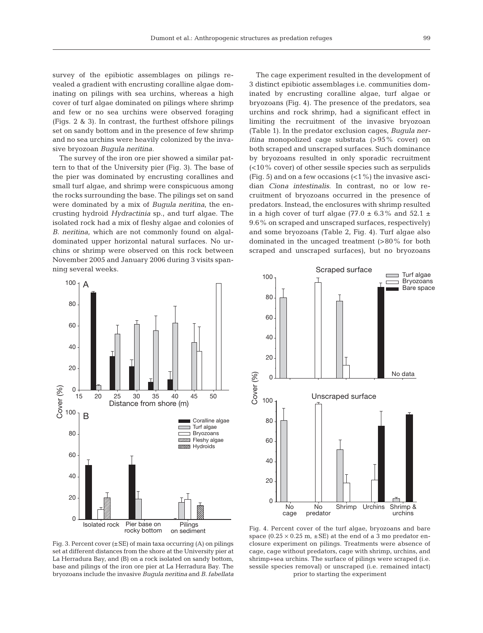survey of the epibiotic assemblages on pilings revealed a gradient with encrusting coralline algae dominating on pilings with sea urchins, whereas a high cover of turf algae dominated on pilings where shrimp and few or no sea urchins were observed foraging (Figs. 2 & 3). In contrast, the furthest offshore pilings set on sandy bottom and in the presence of few shrimp and no sea urchins were heavily colonized by the invasive bryozoan *Bugula neritina*.

The survey of the iron ore pier showed a similar pattern to that of the University pier (Fig. 3). The base of the pier was dominated by encrusting corallines and small turf algae, and shrimp were conspicuous among the rocks surrounding the base. The pilings set on sand were dominated by a mix of *Bugula neritina*, the encrusting hydroid *Hydractinia* sp., and turf algae. The isolated rock had a mix of fleshy algae and colonies of *B. neritina*, which are not commonly found on algaldominated upper horizontal natural surfaces. No ur chins or shrimp were observed on this rock between November 2005 and January 2006 during 3 visits spanning several weeks.

The cage experiment resulted in the development of 3 distinct epibiotic assemblages i.e. communities dominated by encrusting coralline algae, turf algae or bryozoans (Fig. 4). The presence of the predators, sea urchins and rock shrimp, had a significant effect in limiting the recruitment of the invasive bryozoan (Table 1). In the predator exclusion cages, *Bugula neritina* monopolized cage substrata (>95% cover) on both scraped and unscraped surfaces. Such dominance by bryozoans resulted in only sporadic recruitment (<10% cover) of other sessile species such as serpulids (Fig. 5) and on a few occasions  $($  <math>1\%) the invasive ascidian *Ciona intestinalis*. In contrast, no or low recruitment of bryozoans occurred in the presence of predators. Instead, the enclosures with shrimp resulted in a high cover of turf algae (77.0  $\pm$  6.3% and 52.1  $\pm$ 9.6% on scraped and unscraped surfaces, respectively) and some bryozoans (Table 2, Fig. 4). Turf algae also dominated in the uncaged treatment (>80% for both scraped and unscraped surfaces), but no bryozoans





Fig. 3. Percent cover  $(\pm SE)$  of main taxa occurring (A) on pilings set at different distances from the shore at the University pier at La Herradura Bay, and (B) on a rock isolated on sandy bottom, base and pilings of the iron ore pier at La Herradura Bay. The bryozoans include the invasive *Bugula neritina* and *B. fabellata*

Fig. 4. Percent cover of the turf algae, bryozoans and bare space (0.25  $\times$  0.25 m,  $\pm$  SE) at the end of a 3 mo predator enclosure experiment on pilings. Treatments were absence of cage, cage without predators, cage with shrimp, urchins, and shrimp+ sea urchins. The surface of pilings were scraped (i.e. sessile species removal) or unscraped (i.e. remained intact) prior to starting the experiment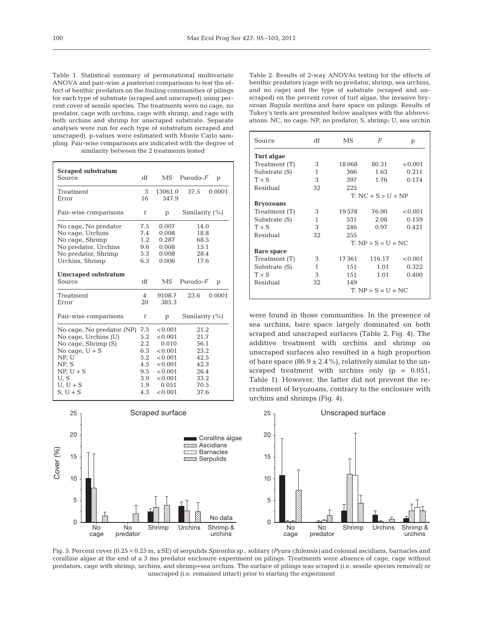Table 1. Statistical summary of permutational multivariate ANOVA and pair-wise *a posteriori* comparisons to test the effect of benthic predators on the fouling communities of pilings for each type of substrate (scraped and unscraped) using percent cover of sessile species. The treatments were no cage, no predator, cage with urchins, cage with shrimp, and cage with both urchins and shrimp for unscraped substrate. Separate analyses were run for each type of substratum (scraped and unscraped). p-values were estimated with Monte Carlo sampling. Pair-wise comparisons are indicated with the degree of similarity between the 2 treatments tested

| <b>Scraped substratum</b><br>Source   | df             | MS      | $Pseudo-F$        | p      |
|---------------------------------------|----------------|---------|-------------------|--------|
| Treatment                             | 3              | 13061.0 | 37.5              | 0.0001 |
| Error                                 | 16             | 347.9   |                   |        |
| Pair-wise comparisons                 | t              | p       | Similarity $(\%)$ |        |
| No cage, No predator                  | 7.5            | 0.007   | 14.0              |        |
| No cage, Urchins                      | 7.4            | 0.008   | 18.8              |        |
| No cage, Shrimp                       | 1.2            | 0.287   | 68.5              |        |
| No predator, Urchins                  | 9.6            | 0.008   | 15.1              |        |
| No predator, Shrimp                   | 5.3            | 0.008   | 28.4              |        |
| Urchins, Shrimp                       | 6.3            | 0.006   | 17.6              |        |
| <b>Unscraped substratum</b><br>Source | df             | MS      | $Pseudo-F$        | p      |
| Treatment                             | $\overline{4}$ | 9108.7  | 23.6              | 0.0001 |
| Error                                 | 20             | 385.3   |                   |        |
| Pair-wise comparisons                 | t              | p       | Similarity $(\%)$ |        |
| No cage, No predator (NP)             | 7.3            | < 0.001 | 21.2              |        |
| No cage, Urchins (U)                  | 5.2            | < 0.001 | 21.7              |        |
| No cage, Shrimp (S)                   | $2.2^{\circ}$  | 0.010   | 56.1              |        |
| No cage, $U + S$                      | 6.3            | < 0.001 | 23.2              |        |
| NP, U                                 | 5.2            | < 0.001 | 42.5              |        |
| NP, S                                 | 4.5            | < 0.001 | 42.3              |        |
| $NP, U + S$                           | 9.5            | < 0.001 | 26.4              |        |
| U, S                                  | 3.9            | < 0.001 | 33.2              |        |
| $U, U + S$                            | 1.9            | 0.051   | 70.5              |        |
| $S, U + S$                            | 4.3            | < 0.001 | 37.6              |        |
|                                       |                |         |                   |        |

0 5 10 15 20 25 Coralline algae Ascidians Barnacles **Serpulids** Scraped surface Cover (%) No data No No Shrimp Urchins Shrimp &

cage

predator

Table 2. Results of 2-way ANOVAs testing for the effects of benthic predators (cage with no predator, shrimp, sea urchins, and no cage) and the type of substrate (scraped and unscraped) on the percent cover of turf algae, the invasive bryozoan *Bugula neritina* and bare space on pilings. Results of Tukey's tests are presented below analyses with the abbreviations: NC, no cage; NP, no predator; S, shrimp; U, sea urchin

| Source            | df | MS                   | F                    | p       |  |  |  |
|-------------------|----|----------------------|----------------------|---------|--|--|--|
| <b>Turf</b> algae |    |                      |                      |         |  |  |  |
| Treatment (T)     | 3  | 18068                | 80.31                | < 0.001 |  |  |  |
| Substrate (S)     | 1  | 366                  | 1.63                 | 0.211   |  |  |  |
| $T \times S$      | 3  | 397                  | 1.76                 | 0.174   |  |  |  |
| Residual          | 32 | 225                  |                      |         |  |  |  |
|                   |    |                      | $T: NC = S > U = NP$ |         |  |  |  |
| <b>Bryozoans</b>  |    |                      |                      |         |  |  |  |
| Treatment (T)     | 3  | 19578                | 76.90                | < 0.001 |  |  |  |
| Substrate (S)     | 1  | 531                  | 2.08                 | 0.159   |  |  |  |
| $T \times S$      | 3  | 246                  | 0.97                 | 0.421   |  |  |  |
| Residual          | 32 | 255                  |                      |         |  |  |  |
|                   |    | $T: NP > S = U = NC$ |                      |         |  |  |  |
| <b>Bare space</b> |    |                      |                      |         |  |  |  |
| Treatment (T)     | 3  | 17361                | 116.17               | < 0.001 |  |  |  |
| Substrate (S)     | 1  | 151                  | 1.01                 | 0.322   |  |  |  |
| $T \times S$      | 3  | 151                  | 1.01                 | 0.400   |  |  |  |
| Residual          | 32 | 149                  |                      |         |  |  |  |
|                   |    |                      | $T: NP > S = U = NC$ |         |  |  |  |

were found in those communities. In the presence of sea urchins, bare space largely dominated on both scraped and unscraped surfaces (Table 2, Fig. 4). The additive treatment with urchins and shrimp on unscraped surfaces also resulted in a high proportion of bare space  $(86.9 \pm 2.4\%)$ , relatively similar to the unscraped treatment with urchins only (p = 0.051, Table 1). However, the latter did not prevent the recruitment of bryozoans, contrary to the enclosure with urchins and shrimps (Fig. 4).



Fig. 5. Percent cover (0.25 × 0.25 m, ±SE) of serpulids *Spirorbis* sp., solitary (*Pyura chilensis)* and colonial ascidians, barnacles and coralline algae at the end of a 3 mo predator enclosure experiment on pilings. Treatments were absence of cage, cage without predators, cage with shrimp, urchins, and shrimp+sea urchins. The surface of pilings was scraped (i.e. sessile species removal) or unscraped (i.e. remained intact) prior to starting the experiment

urchins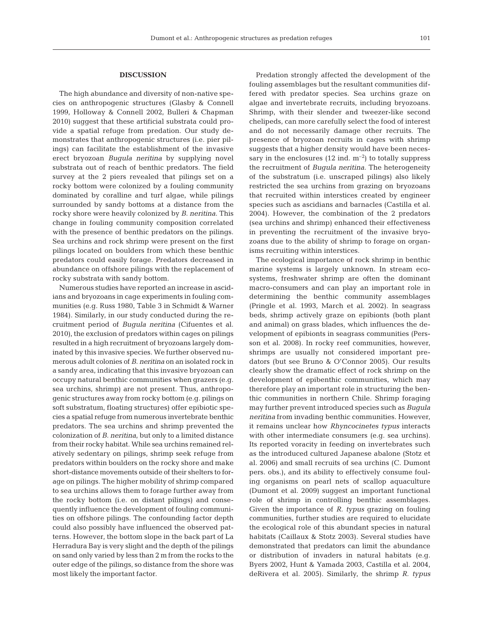#### **DISCUSSION**

The high abundance and diversity of non-native species on anthropogenic structures (Glasby & Connell 1999, Holloway & Connell 2002, Bulleri & Chapman 2010) suggest that these artificial substrata could provide a spatial refuge from predation. Our study demonstrates that anthropogenic structures (i.e. pier pilings) can facilitate the establishment of the invasive erect bryozoan *Bugula neritina* by supplying novel substrata out of reach of benthic predators. The field survey at the 2 piers revealed that pilings set on a rocky bottom were colonized by a fouling community dominated by coralline and turf algae, while pilings surrounded by sandy bottoms at a distance from the rocky shore were heavily colonized by *B. neritina*. This change in fouling community composition correlated with the presence of benthic predators on the pilings. Sea urchins and rock shrimp were present on the first pilings located on boulders from which these benthic predators could easily forage. Predators decreased in abundance on offshore pilings with the replacement of rocky substrata with sandy bottom.

Numerous studies have reported an increase in ascidians and bryozoans in cage experiments in fouling communities (e.g. Russ 1980, Table 3 in Schmidt & Warner 1984). Similarly, in our study conducted during the recruitment period of *Bugula neritina* (Cifuentes et al. 2010), the exclusion of predators within cages on pilings resulted in a high recruitment of bryozoans largely dominated by this invasive species. We further observed numerous adult colonies of *B. neritina* on an isolated rock in a sandy area, indicating that this in vasive bryozoan can occupy natural benthic communities when grazers (e.g. sea urchins, shrimp) are not present. Thus, anthropogenic structures away from rocky bottom (e.g. pilings on soft substratum, floating structures) offer epibiotic species a spatial refuge from numerous invertebrate benthic predators. The sea urchins and shrimp prevented the colonization of *B. neritina*, but only to a limited distance from their rocky habitat. While sea urchins remained relatively sedentary on pilings, shrimp seek refuge from predators within boulders on the rocky shore and make short-distance movements outside of their shelters to forage on pilings. The higher mobility of shrimp compared to sea urchins allows them to forage further away from the rocky bottom (i.e. on distant pilings) and consequently influence the development of fouling communities on offshore pilings. The confounding factor depth could also possibly have influenced the observed patterns. However, the bottom slope in the back part of La Herradura Bay is very slight and the depth of the pilings on sand only varied by less than 2 m from the rocks to the outer edge of the pilings, so distance from the shore was most likely the important factor.

Predation strongly affected the development of the fouling assemblages but the resultant communities differed with predator species. Sea urchins graze on algae and invertebrate recruits, including bryozoans. Shrimp, with their slender and tweezer-like second chelipeds, can more carefully select the food of interest and do not necessarily damage other recruits. The presence of bryozoan recruits in cages with shrimp suggests that a higher density would have been necessary in the enclosures  $(12 \text{ ind. m}^{-2})$  to totally suppress the recruitment of *Bugula neritina*. The heterogeneity of the substratum (i.e. unscraped pilings) also likely restricted the sea urchins from grazing on bryozoans that recruited within interstices created by engineer species such as ascidians and barnacles (Castilla et al. 2004). However, the combination of the 2 predators (sea urchins and shrimp) enhanced their effectiveness in preventing the recruitment of the invasive bryozoans due to the ability of shrimp to forage on organisms recruiting within interstices.

The ecological importance of rock shrimp in benthic marine systems is largely unknown. In stream ecosystems, freshwater shrimp are often the dominant macro-consumers and can play an important role in determining the benthic community assemblages (Pringle et al. 1993, March et al. 2002). In seagrass beds, shrimp actively graze on epibionts (both plant and animal) on grass blades, which influences the development of epibionts in seagrass communities (Persson et al. 2008). In rocky reef communities, however, shrimps are usually not considered important predators (but see Bruno & O'Connor 2005). Our results clearly show the dramatic effect of rock shrimp on the development of epibenthic communities, which may therefore play an important role in structuring the benthic communities in northern Chile. Shrimp foraging may further prevent introduced species such as *Bugula neritina* from invading benthic communities. However, it remains unclear how *Rhyncocinetes typus* interacts with other intermediate consumers (e.g. sea urchins). Its reported voracity in feeding on invertebrates such as the introduced cultured Japanese abalone (Stotz et al. 2006) and small recruits of sea urchins (C. Dumont pers. obs.), and its ability to effectively consume fouling organisms on pearl nets of scallop aquaculture (Dumont et al. 2009) suggest an important functional role of shrimp in controlling benthic assemblages. Given the importance of *R. typus* grazing on fouling communities, further studies are required to elucidate the ecological role of this abundant species in natural habitats (Caillaux & Stotz 2003). Several studies have demonstrated that predators can limit the abundance or distribution of invaders in natural habitats (e.g. Byers 2002, Hunt & Yamada 2003, Castilla et al. 2004, deRivera et al. 2005). Similarly, the shrimp *R. typus*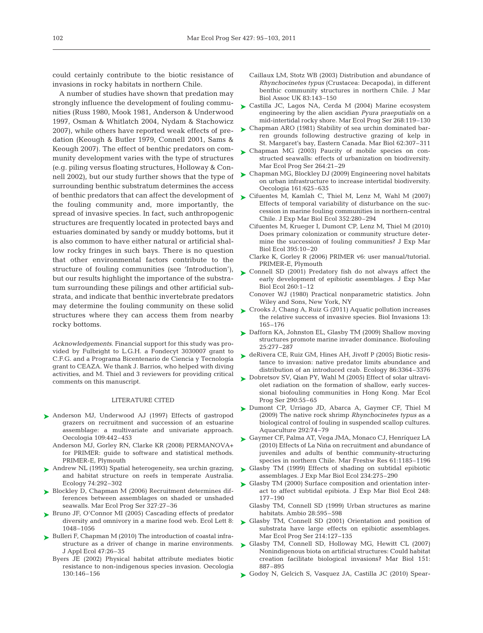could certainly contribute to the biotic resistance of invasions in rocky habitats in northern Chile.

A number of studies have shown that predation may strongly influence the development of fouling communities (Russ 1980, Mook 1981, Anderson & Underwood 1997, Osman & Whitlatch 2004, Nydam & Stachowicz 2007), while others have reported weak effects of predation (Keough & Butler 1979, Connell 2001, Sams & Keough 2007). The effect of benthic predators on community development varies with the type of structures (e.g. piling versus floating structures, Holloway & Connell 2002), but our study further shows that the type of surrounding benthic substratum determines the access of benthic predators that can affect the development of the fouling community and, more importantly, the spread of invasive species. In fact, such anthropogenic structures are frequently located in protected bays and estuaries dominated by sandy or muddy bottoms, but it is also common to have either natural or artificial shallow rocky fringes in such bays. There is no question that other environmental factors contribute to the structure of fouling communities (see 'Introduction'), but our results highlight the importance of the substratum surrounding these pilings and other artificial substrata, and indicate that benthic invertebrate predators may determine the fouling community on these solid structures where they can access them from nearby rocky bottoms.

*Acknowledgements.* Financial support for this study was provided by Fulbright to L.G.H. a Fondecyt 3030007 grant to C.F.G. and a Programa Bicentenario de Ciencia y Tecnología grant to CEAZA. We thank J. Barrios, who helped with diving activities, and M. Thiel and 3 reviewers for providing critical comments on this manuscript.

#### LITERATURE CITED

- ▶ Anderson MJ, Underwood AJ (1997) Effects of gastropod grazers on recruitment and succession of an estuarine assemblage: a multivariate and univariate approach. Oecologia 109:442–453
	- Anderson MJ, Gorley RN, Clarke KR (2008) PERMANOVA+ for PRIMER: guide to software and statistical methods. PRIMER-E, Plymouth
- ▶ Andrew NL (1993) Spatial heterogeneity, sea urchin grazing, and habitat structure on reefs in temperate Australia. Ecology 74:292–302
- ► Blockley D, Chapman M (2006) Recruitment determines differences between assemblages on shaded or unshaded seawalls. Mar Ecol Prog Ser 327:27–36
- ► Bruno JF, O'Connor MI (2005) Cascading effects of predator diversity and omnivory in a marine food web. Ecol Lett 8: 1048–1056
- ► Bulleri F, Chapman M (2010) The introduction of coastal infrastructure as a driver of change in marine environments. J Appl Ecol 47:26–35
	- Byers JE (2002) Physical habitat attribute mediates biotic resistance to non-indigenous species invasion. Oecologia 130: 146–156
- Caillaux LM, Stotz WB (2003) Distribution and abundance of *Rhynchocinetes typus* (Crustacea: Decapoda), in different benthic community structures in northern Chile. J Mar Biol Assoc UK 83:143–150
- ► Castilla JC, Lagos NA, Cerda M (2004) Marine ecosystem engineering by the alien ascidian *Pyura praeputialis* on a mid-intertidal rocky shore. Mar Ecol Prog Ser 268: 119–130
- ► Chapman ARO (1981) Stability of sea urchin dominated barren grounds following destructive grazing of kelp in St. Margaret's bay, Eastern Canada. Mar Biol 62:307–311
- ► Chapman MG (2003) Paucity of mobile species on constructed seawalls: effects of urbanization on biodiversity. Mar Ecol Prog Ser 264:21–29
- ► Chapman MG, Blockley DJ (2009) Engineering novel habitats on urban infrastructure to increase intertidal biodiversity. Oecologia 161:625–635
- ► Cifuentes M, Kamlah C, Thiel M, Lenz M, Wahl M (2007) Effects of temporal variability of disturbance on the succession in marine fouling communities in northern-central Chile. J Exp Mar Biol Ecol 352:280–294
	- Cifuentes M, Krueger I, Dumont CP, Lenz M, Thiel M (2010) Does primary colonization or community structure determine the succession of fouling communities? J Exp Mar Biol Ecol 395:10–20
	- Clarke K, Gorley R (2006) PRIMER v6: user manual/tutorial. PRIMER-E, Plymouth
- ► Connell SD (2001) Predatory fish do not always affect the early development of epibiotic assemblages. J Exp Mar Biol Ecol 260:1–12
	- Conover WJ (1980) Practical nonparametric statistics. John Wiley and Sons, New York, NY
- ► Crooks J, Chang A, Ruiz G (2011) Aquatic pollution increases the relative success of invasive species. Biol Invasions 13: 165–176
- ► Dafforn KA, Johnston EL, Glasby TM (2009) Shallow moving structures promote marine invader dominance. Biofouling 25: 277–287
- ► deRivera CE, Ruiz GM, Hines AH, Jivoff P (2005) Biotic resistance to invasion: native predator limits abundance and distribution of an introduced crab. Ecology 86:3364–3376
- ► Dobretsov SV, Qian PY, Wahl M (2005) Effect of solar ultraviolet radiation on the formation of shallow, early successional biofouling communities in Hong Kong. Mar Ecol Prog Ser 290:55–65
- Dumont CP, Urriago JD, Abarca A, Gaymer CF, Thiel M ➤ (2009) The native rock shrimp *Rhynchocinetes typus* as a biological control of fouling in suspended scallop cultures. Aquaculture 292:74–79
- Gaymer CF, Palma AT, Vega JMA, Monaco CJ, Henríquez LA ➤ (2010) Effects of La Niña on recruitment and abundance of juveniles and adults of benthic community-structuring species in northern Chile. Mar Freshw Res 61:1185–1196
- ► Glasby TM (1999) Effects of shading on subtidal epibiotic assemblages. J Exp Mar Biol Ecol 234:275–290
- ► Glasby TM (2000) Surface composition and orientation interact to affect subtidal epibiota. J Exp Mar Biol Ecol 248: 177–190
	- Glasby TM, Connell SD (1999) Urban structures as marine habitats. Ambio 28:595–598
- ► Glasby TM, Connell SD (2001) Orientation and position of substrata have large effects on epibiotic assemblages. Mar Ecol Prog Ser 214:127–135
- Glasby TM, Connell SD, Holloway MG, Hewitt CL (2007) ➤ Nonindigenous biota on artificial structures: Could habitat creation facilitate biological invasions? Mar Biol 151: 887–895
- Godoy N, Gelcich S, Vasquez JA, Castilla JC (2010) Spear ➤